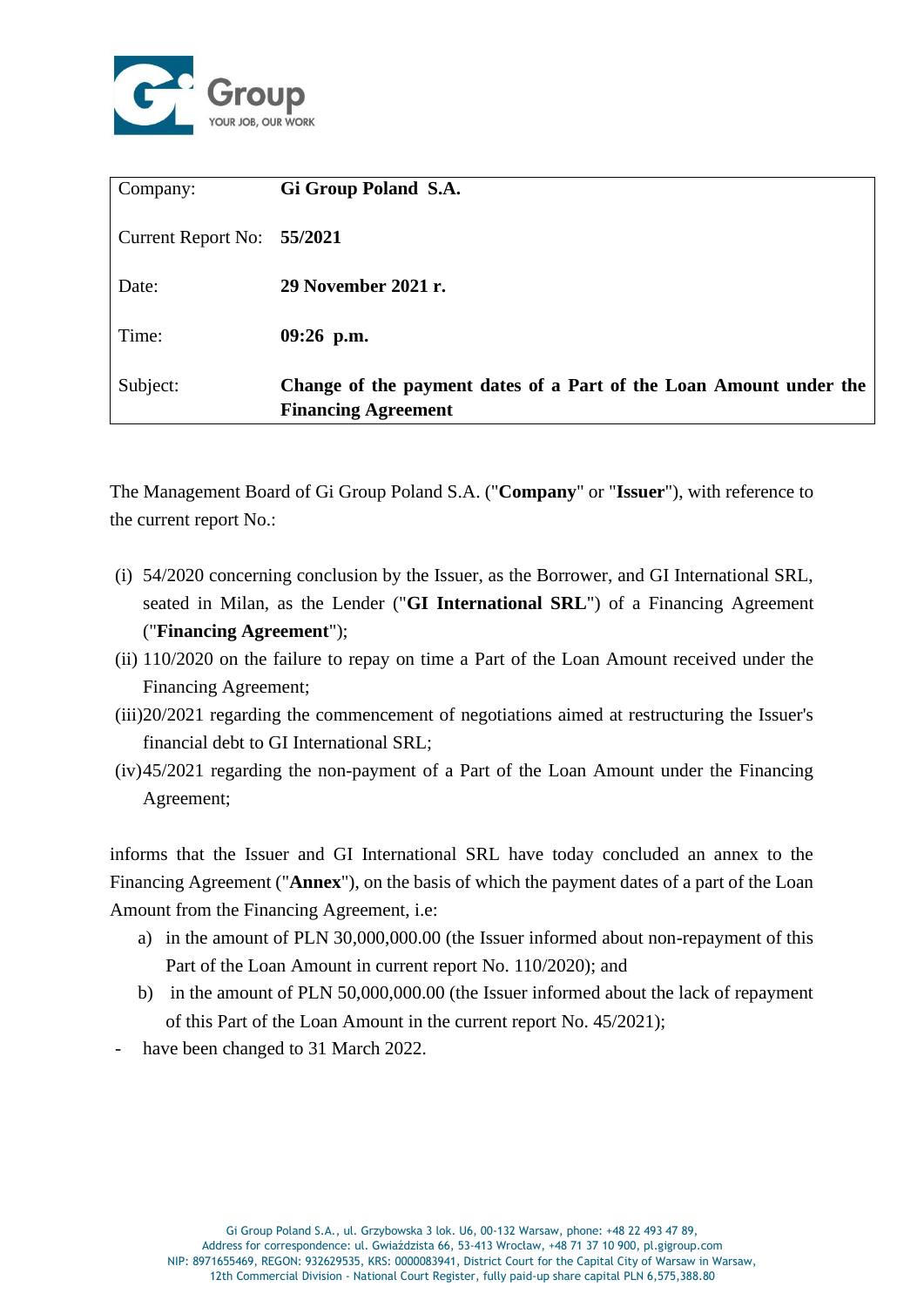

| Company:           | Gi Group Poland S.A.                                                                             |
|--------------------|--------------------------------------------------------------------------------------------------|
| Current Report No: | 55/2021                                                                                          |
| Date:              | 29 November 2021 r.                                                                              |
| Time:              | $09:26$ p.m.                                                                                     |
| Subject:           | Change of the payment dates of a Part of the Loan Amount under the<br><b>Financing Agreement</b> |

The Management Board of Gi Group Poland S.A. ("**Company**" or "**Issuer**"), with reference to the current report No.:

- (i) 54/2020 concerning conclusion by the Issuer, as the Borrower, and GI International SRL, seated in Milan, as the Lender ("**GI International SRL**") of a Financing Agreement ("**Financing Agreement**");
- (ii) 110/2020 on the failure to repay on time a Part of the Loan Amount received under the Financing Agreement;
- (iii)20/2021 regarding the commencement of negotiations aimed at restructuring the Issuer's financial debt to GI International SRL;
- (iv)45/2021 regarding the non-payment of a Part of the Loan Amount under the Financing Agreement;

informs that the Issuer and GI International SRL have today concluded an annex to the Financing Agreement ("**Annex**"), on the basis of which the payment dates of a part of the Loan Amount from the Financing Agreement, i.e:

- a) in the amount of PLN 30,000,000.00 (the Issuer informed about non-repayment of this Part of the Loan Amount in current report No. 110/2020); and
- b) in the amount of PLN 50,000,000.00 (the Issuer informed about the lack of repayment of this Part of the Loan Amount in the current report No. 45/2021);
- have been changed to 31 March 2022.